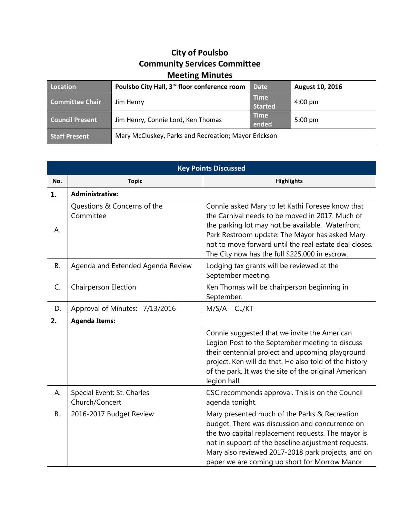## **City of Poulsbo Community Services Committee Meeting Minutes**

| Location               | Poulsbo City Hall, 3 <sup>rd</sup> floor conference room | <b>Date</b>                   | August 10, 2016   |
|------------------------|----------------------------------------------------------|-------------------------------|-------------------|
| <b>Committee Chair</b> | Jim Henry                                                | <b>Time</b><br><b>Started</b> | $4:00 \text{ pm}$ |
| <b>Council Present</b> | Jim Henry, Connie Lord, Ken Thomas                       | <b>Time</b><br>ended          | $5:00 \text{ pm}$ |
| <b>Staff Present</b>   | Mary McCluskey, Parks and Recreation; Mayor Erickson     |                               |                   |

| <b>Key Points Discussed</b> |                                              |                                                                                                                                                                                                                                                                                                                       |  |  |
|-----------------------------|----------------------------------------------|-----------------------------------------------------------------------------------------------------------------------------------------------------------------------------------------------------------------------------------------------------------------------------------------------------------------------|--|--|
| No.                         | <b>Topic</b>                                 | <b>Highlights</b>                                                                                                                                                                                                                                                                                                     |  |  |
| 1.                          | <b>Administrative:</b>                       |                                                                                                                                                                                                                                                                                                                       |  |  |
| А.                          | Questions & Concerns of the<br>Committee     | Connie asked Mary to let Kathi Foresee know that<br>the Carnival needs to be moved in 2017. Much of<br>the parking lot may not be available. Waterfront<br>Park Restroom update: The Mayor has asked Mary<br>not to move forward until the real estate deal closes.<br>The City now has the full \$225,000 in escrow. |  |  |
| <b>B.</b>                   | Agenda and Extended Agenda Review            | Lodging tax grants will be reviewed at the<br>September meeting.                                                                                                                                                                                                                                                      |  |  |
| C.                          | <b>Chairperson Election</b>                  | Ken Thomas will be chairperson beginning in<br>September.                                                                                                                                                                                                                                                             |  |  |
| D.                          | Approval of Minutes: 7/13/2016               | M/S/A CL/KT                                                                                                                                                                                                                                                                                                           |  |  |
| 2.                          | <b>Agenda Items:</b>                         |                                                                                                                                                                                                                                                                                                                       |  |  |
|                             |                                              | Connie suggested that we invite the American<br>Legion Post to the September meeting to discuss<br>their centennial project and upcoming playground<br>project. Ken will do that. He also told of the history<br>of the park. It was the site of the original American<br>legion hall.                                |  |  |
| А.                          | Special Event: St. Charles<br>Church/Concert | CSC recommends approval. This is on the Council<br>agenda tonight.                                                                                                                                                                                                                                                    |  |  |
| <b>B.</b>                   | 2016-2017 Budget Review                      | Mary presented much of the Parks & Recreation<br>budget. There was discussion and concurrence on<br>the two capital replacement requests. The mayor is<br>not in support of the baseline adjustment requests.<br>Mary also reviewed 2017-2018 park projects, and on<br>paper we are coming up short for Morrow Manor  |  |  |